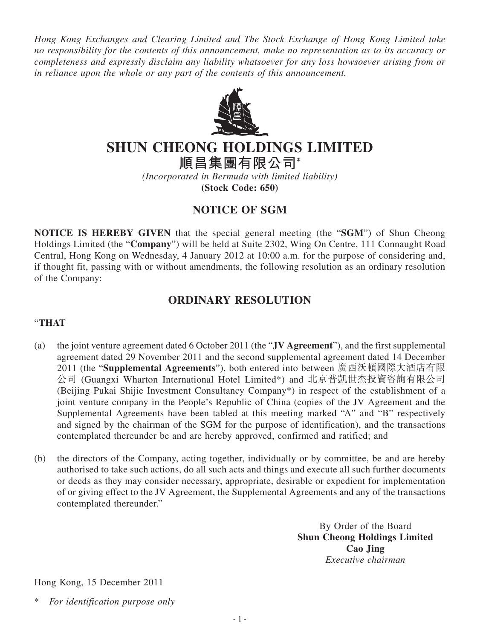*Hong Kong Exchanges and Clearing Limited and The Stock Exchange of Hong Kong Limited take no responsibility for the contents of this announcement, make no representation as to its accuracy or completeness and expressly disclaim any liability whatsoever for any loss howsoever arising from or in reliance upon the whole or any part of the contents of this announcement.*



## **SHUN CHEONG HOLDINGS LIMITED**

**順昌集團有限公司\***

*(Incorporated in Bermuda with limited liability)* **(Stock Code: 650)**

## **NOTICE OF SGM**

**NOTICE IS HEREBY GIVEN** that the special general meeting (the "**SGM**") of Shun Cheong Holdings Limited (the "**Company**") will be held at Suite 2302, Wing On Centre, 111 Connaught Road Central, Hong Kong on Wednesday, 4 January 2012 at 10:00 a.m. for the purpose of considering and, if thought fit, passing with or without amendments, the following resolution as an ordinary resolution of the Company:

## **ORDINARY RESOLUTION**

## "**THAT**

- (a) the joint venture agreement dated 6 October 2011 (the "**JV Agreement**"), and the first supplemental agreement dated 29 November 2011 and the second supplemental agreement dated 14 December 2011 (the "**Supplemental Agreements**"), both entered into between 廣西沃頓國際大酒店有限 公司 (Guangxi Wharton International Hotel Limited\*) and 北京普凱世杰投資咨詢有限公司 (Beijing Pukai Shijie Investment Consultancy Company\*) in respect of the establishment of a joint venture company in the People's Republic of China (copies of the JV Agreement and the Supplemental Agreements have been tabled at this meeting marked "A" and "B" respectively and signed by the chairman of the SGM for the purpose of identification), and the transactions contemplated thereunder be and are hereby approved, confirmed and ratified; and
- (b) the directors of the Company, acting together, individually or by committee, be and are hereby authorised to take such actions, do all such acts and things and execute all such further documents or deeds as they may consider necessary, appropriate, desirable or expedient for implementation of or giving effect to the JV Agreement, the Supplemental Agreements and any of the transactions contemplated thereunder."

By Order of the Board **Shun Cheong Holdings Limited Cao Jing** *Executive chairman*

Hong Kong, 15 December 2011

 $For$  *identification purpose only*